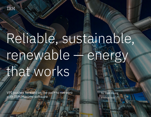

# Reliable, sustainable, renewable — energy that works

 $\mathbb{P}^n$  variables for the path to net  $\mathbb{P}^n$  and  $\mathbb{P}^n$  is net  $\mathbb{P}^n$  and  $\mathbb{P}^n$  and  $\mathbb{P}^n$  and  $\mathbb{P}^n$  and  $\mathbb{P}^n$  and  $\mathbb{P}^n$  and  $\mathbb{P}^n$  and  $\mathbb{P}^n$  and  $\mathbb{P}^n$  and  $\mathbb{P}^n$  a

VPI pushes forward on the path to net zero with IBM Maximo software

by Josh Young 4-minute read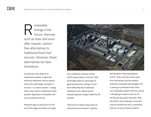enewable energy is the future. Avenues such as solar and wind offer cleaner, carbonfree alternatives to traditional fossil fuel sources. However, these alternatives do have limitations. R

In particular, they depend on cooperative weather to generate electricity efficiently. And as nations across the world begin moving to a net zero — or carbon neutral — energy policy, they need to supplement these weather-dependent renewables with more consistent sources.

Filling this gap is a key focus for VPI, one of the largest providers of energy



from combined cycle gas turbine (CCGT) power plants in the UK. CCGT technology relies on natural gas to generate electricity, doing so much more efficiently than traditional methods by also capturing and repurposing heat energy created by the turbines.

"We know we need to take action to improve the environment," explains

Neil Boreham, Planning Engineer at VPI. "And as the UK moves away from natural gas sources towards extensive renewable technologies, VPI is aiming to contribute to the niche non-renewable support that the country is still going to need to meet its 35 – 45 GW per day power demands. With the CCGTs, we're helping to move the country towards net zero, so anything that we can do to make our plants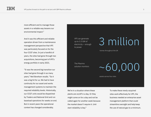more efficient and to manage those assets in a reliable way lessens our environmental impact."

And it was this efficient and reliable operation driven from a maintenance management perspective that VPI was particularly focused on for the four CCGT sites. In just a handful of years, the sites had gone through two acquisitions, becoming part of VPI's energy portfolio in early 2021.

"It was the second big transition our sites had gone through in as many years," Neil Boreham recalls. "So it was a big hit for us. We had to have continuity for our asset and works management systems to maintain the required reliability levels. Historically, our CCGT units would be dispatched by Traders and National Grid and run baseload operations for weeks on end. But in recent years the operational context has changed considerably.

VPI can generate up to 3.3 GW of electricity — enough to power

The Maximo solution monitors 3 million

homes throughout the UK

~60,000

assets across four sites

We're in a situation where these plants are on/off in a day. Or they might come on for a day and not be called again for another week because the market doesn't require it. Unit start reliability is key."

To make these newly-acquired sites work effectively for VPI, the business needed an enterprise asset management platform that could streamline oversight and help keep the use of natural gas to a minimum.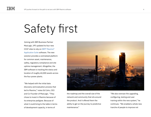## Safety first

Joining with IBM Business Partner MaxLogic, VPI updated its four new CCGT sites to rely on [IBM® Maximo®](https://www.ibm.com/products/maximo)  [Application Suite](https://www.ibm.com/products/maximo) software. The new solution provides a centralized platform for common asset, maintenance, safety, regulatory compliance and site uptime management. Altogether, the IBM software is tracking the status and location of roughly 60,000 assets across the four power plants.

"We helped with the initial data discovery and evaluation process that led to Maximo," notes Ed Cohn, CEO and Co-Founder of MaxLogic. "They chose to invest in Maximo because of its enterprise pedigree. Because of what it could bring to the table in terms of development capacity, in terms of



the roadmap and the overall size of the network and community that sits around the product. And it offered them the ability to get on the journey to predictive maintenance."

"We also oversaw the upgrading, configuring, testing and user training within the new system," he continues. "We enabled a whole new tranche of people to improve not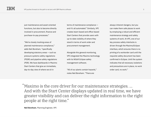just maintenance and asset-oriented functions, but also to become directly involved in procurement, finance and purchase-to-pay processes."

"We're closely tracking areas of planned maintenance compliance," adds Neil Boreham, "specifically developing statutory areas — such as pressure systems safety regulations (PSSR) and pipeline safety regulations (PSR). We have dashboards in Maximo Start Centers that give an immediate, day-to-day view of where we sit in

terms of maintenance compliance and it's all automated." Similarly, VPI creates team-based and office-based Start Centers that provide users with up-to-date visibility of where they stand in terms of work order and procurement management.

Alongside this general monitoring, VPI integrated the Maximo technology with its NiSoft Eclipse safety management software.

"All of our plants contain hazards," notes Neil Boreham. "There are

always inherent dangers, but you can make them safe places to work by employing a robust and efficient maintenance strategy and safety systems of work. At VPI, one of our key process safety interlocks is driven through the Maximo/Eclipse interface, which ensures there is no printing of a workorder card until the requisite safety document has been confirmed in Eclipse. Until the system indicates that all necessary isolations and precautions are in place, no work order card, no work."

Maximo is the core driver for our maintenance strategies. … "And with the Start Center displays updated in real time, we have greater visibility and can deliver the right information to the right people at the right time."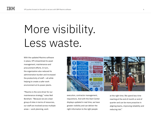### More visibility. Less waste.

With the updated Maximo software in place, VPI streamlined its asset management, maintenance and procurement efforts. In turn, the organization also reduced its administration burden and increased the productivity of staff — all while helping to create a safer work environment at its power plants.

"Maximo is the core driver for our maintenance strategy," notes Neil Boreham. "Because we are a lean group of sites in terms of resources, our staff are involved across multiple areas — work planning, work

![](_page_5_Picture_5.jpeg)

execution, contractor management, requisitions. And with the Start Center displays updated in real time, we have greater visibility and can deliver the right information to the right people

at the right time. We spend less time reacting at the end of month or end of quarter and can be more proactive in aligning teams, improving reliability and reducing risk."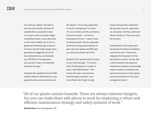He continues, adding: "We need to have the most reliable, flexible and available fleet as possible to allow us to work in what is already a highly competitive market. If your plant fails to start when needed, you're not in a good place. Wholesale gas prices are immense and still rising. Energy prices generally are staggering. And if you have declared that you will provide, say, 700 MW for Thursday peak, and you don't make it, the potential penalties are huge."

Alongside the capabilities that the IBM software delivers, Neil Boreham is also pleased by the overall convenience of

the solution. "It's an easy application to use for a complex job," he notes. "It's very intuitive, and the consistency across the screens — just from a training point of view — makes it easy to onboard people. We don't generally do formal training, preferring peer-topeer with quick guides and SME backup, which has worked well so far."

Similarly, VPI is pleased with its choice to work with MaxLogic. "I've known a few of these guys for a number of years," adds Neil Boreham. "And I know that when I ask someone from MaxLogic a question, I can be confident that I'll get the right

answer because they understand the way that we work, understand our processes. And they understand Maximo inside out. They have never let me down."

Looking ahead, VPI is planning to standardize the Maximo installation across all its sites. "Once we've integrated the final plant into the new Maximo solution, we'll be able to drive forwards with predictive maintenance scenarios and leverage mobile solutions, providing a clear and concise picture of what's going on across the plants for the senior management teams."

All of our plants contain hazards. There are always inherent dangers, "but you can make them safe places to work by employing a robust and efficient maintenance strategy and safety systems of work."